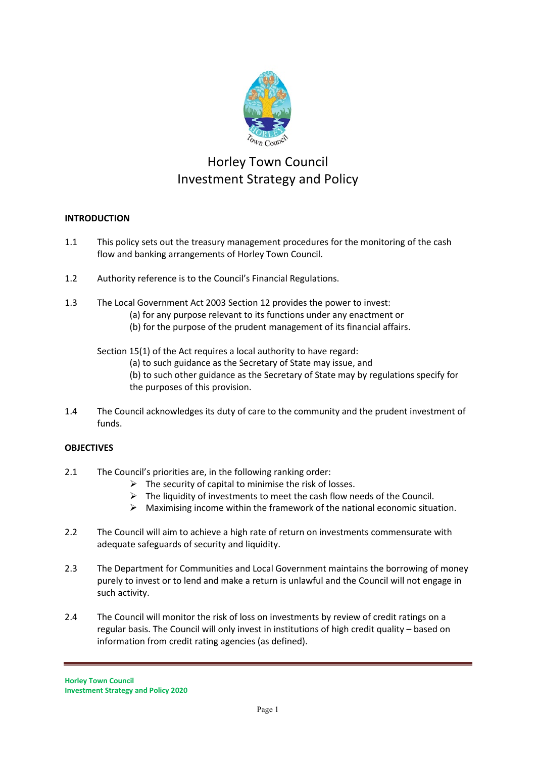

# Horley Town Council Investment Strategy and Policy

# **INTRODUCTION**

- 1.1 This policy sets out the treasury management procedures for the monitoring of the cash flow and banking arrangements of Horley Town Council.
- 1.2 Authority reference is to the Council's Financial Regulations.
- 1.3 The Local Government Act 2003 Section 12 provides the power to invest:
	- (a) for any purpose relevant to its functions under any enactment or
	- (b) for the purpose of the prudent management of its financial affairs.

Section 15(1) of the Act requires a local authority to have regard:

(a) to such guidance as the Secretary of State may issue, and

(b) to such other guidance as the Secretary of State may by regulations specify for the purposes of this provision.

1.4 The Council acknowledges its duty of care to the community and the prudent investment of funds.

# **OBJECTIVES**

- 2.1 The Council's priorities are, in the following ranking order:
	- $\triangleright$  The security of capital to minimise the risk of losses.
	- $\triangleright$  The liquidity of investments to meet the cash flow needs of the Council.
	- $\triangleright$  Maximising income within the framework of the national economic situation.
- 2.2 The Council will aim to achieve a high rate of return on investments commensurate with adequate safeguards of security and liquidity.
- 2.3 The Department for Communities and Local Government maintains the borrowing of money purely to invest or to lend and make a return is unlawful and the Council will not engage in such activity.
- 2.4 The Council will monitor the risk of loss on investments by review of credit ratings on a regular basis. The Council will only invest in institutions of high credit quality – based on information from credit rating agencies (as defined).

**Horley Town Council Investment Strategy and Policy 2020**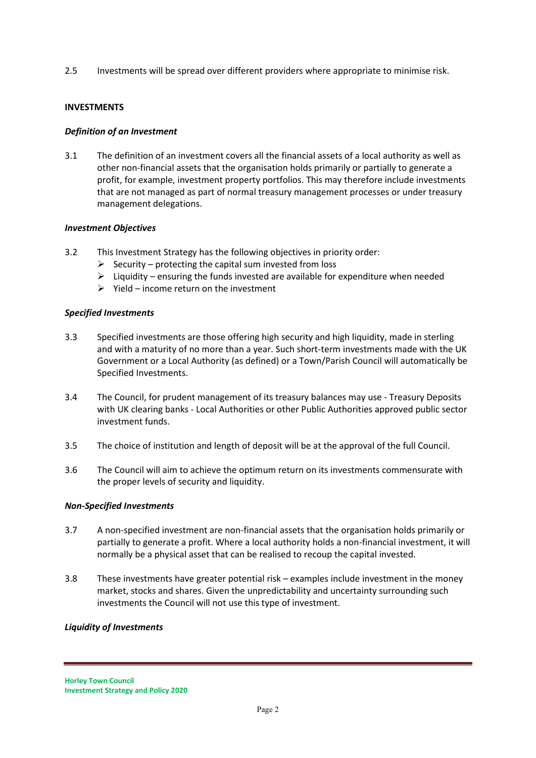2.5 Investments will be spread over different providers where appropriate to minimise risk.

#### **INVESTMENTS**

# *Definition of an Investment*

3.1 The definition of an investment covers all the financial assets of a local authority as well as other non-financial assets that the organisation holds primarily or partially to generate a profit, for example, investment property portfolios. This may therefore include investments that are not managed as part of normal treasury management processes or under treasury management delegations.

# *Investment Objectives*

- 3.2 This Investment Strategy has the following objectives in priority order:
	- $\triangleright$  Security protecting the capital sum invested from loss
	- $\triangleright$  Liquidity ensuring the funds invested are available for expenditure when needed
	- $\triangleright$  Yield income return on the investment

#### *Specified Investments*

- 3.3 Specified investments are those offering high security and high liquidity, made in sterling and with a maturity of no more than a year. Such short-term investments made with the UK Government or a Local Authority (as defined) or a Town/Parish Council will automatically be Specified Investments.
- 3.4 The Council, for prudent management of its treasury balances may use Treasury Deposits with UK clearing banks - Local Authorities or other Public Authorities approved public sector investment funds.
- 3.5 The choice of institution and length of deposit will be at the approval of the full Council.
- 3.6 The Council will aim to achieve the optimum return on its investments commensurate with the proper levels of security and liquidity.

#### *Non-Specified Investments*

- 3.7 A non-specified investment are non-financial assets that the organisation holds primarily or partially to generate a profit. Where a local authority holds a non-financial investment, it will normally be a physical asset that can be realised to recoup the capital invested.
- 3.8 These investments have greater potential risk examples include investment in the money market, stocks and shares. Given the unpredictability and uncertainty surrounding such investments the Council will not use this type of investment.

#### *Liquidity of Investments*